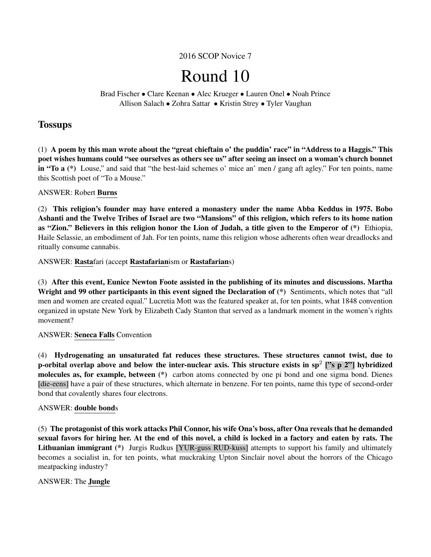# 2016 SCOP Novice 7

# Round 10

Brad Fischer • Clare Keenan • Alec Krueger • Lauren Onel • Noah Prince Allison Salach • Zohra Sattar • Kristin Strey • Tyler Vaughan

# **Tossups**

(1) A poem by this man wrote about the "great chieftain o' the puddin' race" in "Address to a Haggis." This poet wishes humans could "see ourselves as others see us" after seeing an insect on a woman's church bonnet in "To a (\*) Louse," and said that "the best-laid schemes o' mice an' men / gang aft agley." For ten points, name this Scottish poet of "To a Mouse."

# ANSWER: Robert Burns

(2) This religion's founder may have entered a monastery under the name Abba Keddus in 1975. Bobo Ashanti and the Twelve Tribes of Israel are two "Mansions" of this religion, which refers to its home nation as "Zion." Believers in this religion honor the Lion of Judah, a title given to the Emperor of (\*) Ethiopia, Haile Selassie, an embodiment of Jah. For ten points, name this religion whose adherents often wear dreadlocks and ritually consume cannabis.

ANSWER: Rastafari (accept Rastafarianism or Rastafarians)

(3) After this event, Eunice Newton Foote assisted in the publishing of its minutes and discussions. Martha Wright and 99 other participants in this event signed the Declaration of (\*) Sentiments, which notes that "all men and women are created equal." Lucretia Mott was the featured speaker at, for ten points, what 1848 convention organized in upstate New York by Elizabeth Cady Stanton that served as a landmark moment in the women's rights movement?

# ANSWER: Seneca Falls Convention

(4) Hydrogenating an unsaturated fat reduces these structures. These structures cannot twist, due to p-orbital overlap above and below the inter-nuclear axis. This structure exists in sp<sup>2</sup> ["s p 2"] hybridized molecules as, for example, between (\*) carbon atoms connected by one pi bond and one sigma bond. Dienes [die-eens] have a pair of these structures, which alternate in benzene. For ten points, name this type of second-order bond that covalently shares four electrons.

#### ANSWER: double bonds

(5) The protagonist of this work attacks Phil Connor, his wife Ona's boss, after Ona reveals that he demanded sexual favors for hiring her. At the end of this novel, a child is locked in a factory and eaten by rats. The Lithuanian immigrant (\*) Jurgis Rudkus [YUR-guss RUD-kuss] attempts to support his family and ultimately becomes a socialist in, for ten points, what muckraking Upton Sinclair novel about the horrors of the Chicago meatpacking industry?

# ANSWER: The Jungle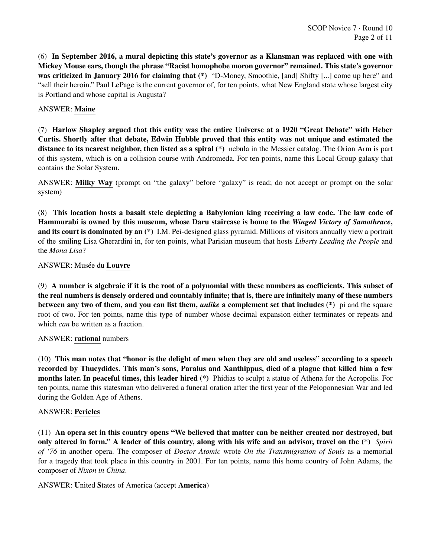(6) In September 2016, a mural depicting this state's governor as a Klansman was replaced with one with Mickey Mouse ears, though the phrase "Racist homophobe moron governor" remained. This state's governor was criticized in January 2016 for claiming that (\*) "D-Money, Smoothie, [and] Shifty [...] come up here" and "sell their heroin." Paul LePage is the current governor of, for ten points, what New England state whose largest city is Portland and whose capital is Augusta?

# ANSWER: Maine

(7) Harlow Shapley argued that this entity was the entire Universe at a 1920 "Great Debate" with Heber Curtis. Shortly after that debate, Edwin Hubble proved that this entity was not unique and estimated the distance to its nearest neighbor, then listed as a spiral  $(*)$  nebula in the Messier catalog. The Orion Arm is part of this system, which is on a collision course with Andromeda. For ten points, name this Local Group galaxy that contains the Solar System.

ANSWER: Milky Way (prompt on "the galaxy" before "galaxy" is read; do not accept or prompt on the solar system)

(8) This location hosts a basalt stele depicting a Babylonian king receiving a law code. The law code of Hammurabi is owned by this museum, whose Daru staircase is home to the *Winged Victory of Samothrace*, and its court is dominated by an (\*) I.M. Pei-designed glass pyramid. Millions of visitors annually view a portrait of the smiling Lisa Gherardini in, for ten points, what Parisian museum that hosts *Liberty Leading the People* and the *Mona Lisa*?

# ANSWER: Musée du Louvre

(9) A number is algebraic if it is the root of a polynomial with these numbers as coefficients. This subset of the real numbers is densely ordered and countably infinite; that is, there are infinitely many of these numbers between any two of them, and you can list them, *unlike* a complement set that includes (\*) pi and the square root of two. For ten points, name this type of number whose decimal expansion either terminates or repeats and which *can* be written as a fraction.

#### ANSWER: rational numbers

(10) This man notes that "honor is the delight of men when they are old and useless" according to a speech recorded by Thucydides. This man's sons, Paralus and Xanthippus, died of a plague that killed him a few months later. In peaceful times, this leader hired (\*) Phidias to sculpt a statue of Athena for the Acropolis. For ten points, name this statesman who delivered a funeral oration after the first year of the Peloponnesian War and led during the Golden Age of Athens.

#### ANSWER: Pericles

(11) An opera set in this country opens "We believed that matter can be neither created nor destroyed, but only altered in form." A leader of this country, along with his wife and an advisor, travel on the (\*) *Spirit of '76* in another opera. The composer of *Doctor Atomic* wrote *On the Transmigration of Souls* as a memorial for a tragedy that took place in this country in 2001. For ten points, name this home country of John Adams, the composer of *Nixon in China*.

# ANSWER: United States of America (accept America)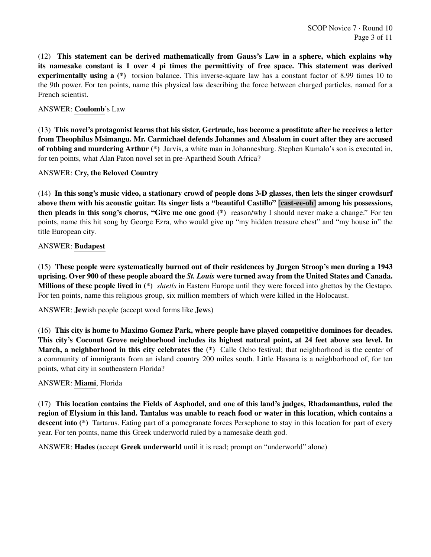(12) This statement can be derived mathematically from Gauss's Law in a sphere, which explains why its namesake constant is 1 over 4 pi times the permittivity of free space. This statement was derived experimentally using a (\*) torsion balance. This inverse-square law has a constant factor of 8.99 times 10 to the 9th power. For ten points, name this physical law describing the force between charged particles, named for a French scientist.

ANSWER: Coulomb's Law

(13) This novel's protagonist learns that his sister, Gertrude, has become a prostitute after he receives a letter from Theophilus Msimangu. Mr. Carmichael defends Johannes and Absalom in court after they are accused of robbing and murdering Arthur (\*) Jarvis, a white man in Johannesburg. Stephen Kumalo's son is executed in, for ten points, what Alan Paton novel set in pre-Apartheid South Africa?

ANSWER: Cry, the Beloved Country

(14) In this song's music video, a stationary crowd of people dons 3-D glasses, then lets the singer crowdsurf above them with his acoustic guitar. Its singer lists a "beautiful Castillo" [cast-ee-oh] among his possessions, then pleads in this song's chorus, "Give me one good (\*) reason/why I should never make a change." For ten points, name this hit song by George Ezra, who would give up "my hidden treasure chest" and "my house in" the title European city.

# ANSWER: Budapest

(15) These people were systematically burned out of their residences by Jurgen Stroop's men during a 1943 uprising. Over 900 of these people aboard the *St. Louis* were turned away from the United States and Canada. Millions of these people lived in (\*) *shtetls* in Eastern Europe until they were forced into ghettos by the Gestapo. For ten points, name this religious group, six million members of which were killed in the Holocaust.

ANSWER: Jewish people (accept word forms like Jews)

(16) This city is home to Maximo Gomez Park, where people have played competitive dominoes for decades. This city's Coconut Grove neighborhood includes its highest natural point, at 24 feet above sea level. In March, a neighborhood in this city celebrates the (\*) Calle Ocho festival; that neighborhood is the center of a community of immigrants from an island country 200 miles south. Little Havana is a neighborhood of, for ten points, what city in southeastern Florida?

#### ANSWER: Miami, Florida

(17) This location contains the Fields of Asphodel, and one of this land's judges, Rhadamanthus, ruled the region of Elysium in this land. Tantalus was unable to reach food or water in this location, which contains a descent into (\*) Tartarus. Eating part of a pomegranate forces Persephone to stay in this location for part of every year. For ten points, name this Greek underworld ruled by a namesake death god.

ANSWER: Hades (accept Greek underworld until it is read; prompt on "underworld" alone)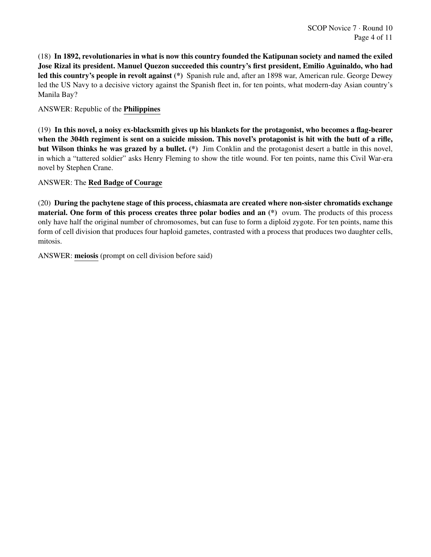(18) In 1892, revolutionaries in what is now this country founded the Katipunan society and named the exiled Jose Rizal its president. Manuel Quezon succeeded this country's first president, Emilio Aguinaldo, who had led this country's people in revolt against (\*) Spanish rule and, after an 1898 war, American rule. George Dewey led the US Navy to a decisive victory against the Spanish fleet in, for ten points, what modern-day Asian country's Manila Bay?

ANSWER: Republic of the Philippines

(19) In this novel, a noisy ex-blacksmith gives up his blankets for the protagonist, who becomes a flag-bearer when the 304th regiment is sent on a suicide mission. This novel's protagonist is hit with the butt of a rifle, but Wilson thinks he was grazed by a bullet. (\*) Jim Conklin and the protagonist desert a battle in this novel, in which a "tattered soldier" asks Henry Fleming to show the title wound. For ten points, name this Civil War-era novel by Stephen Crane.

# ANSWER: The Red Badge of Courage

(20) During the pachytene stage of this process, chiasmata are created where non-sister chromatids exchange material. One form of this process creates three polar bodies and an (\*) ovum. The products of this process only have half the original number of chromosomes, but can fuse to form a diploid zygote. For ten points, name this form of cell division that produces four haploid gametes, contrasted with a process that produces two daughter cells, mitosis.

ANSWER: meiosis (prompt on cell division before said)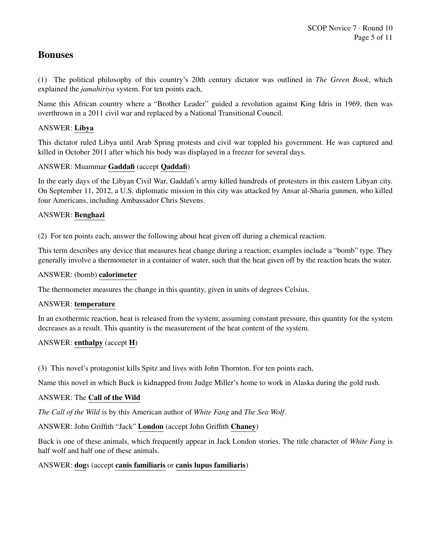# Bonuses

(1) The political philosophy of this country's 20th century dictator was outlined in *The Green Book*, which explained the *jamahiriya* system. For ten points each,

Name this African country where a "Brother Leader" guided a revolution against King Idris in 1969, then was overthrown in a 2011 civil war and replaced by a National Transitional Council.

# ANSWER: Libya

This dictator ruled Libya until Arab Spring protests and civil war toppled his government. He was captured and killed in October 2011 after which his body was displayed in a freezer for several days.

# ANSWER: Muammar Gaddafi (accept Qaddafi)

In the early days of the Libyan Civil War, Gaddafi's army killed hundreds of protesters in this eastern Libyan city. On September 11, 2012, a U.S. diplomatic mission in this city was attacked by Ansar al-Sharia gunmen, who killed four Americans, including Ambassador Chris Stevens.

# ANSWER: Benghazi

(2) For ten points each, answer the following about heat given off during a chemical reaction.

This term describes any device that measures heat change during a reaction; examples include a "bomb" type. They generally involve a thermometer in a container of water, such that the heat given off by the reaction heats the water.

## ANSWER: (bomb) calorimeter

The thermometer measures the change in this quantity, given in units of degrees Celsius.

#### ANSWER: temperature

In an exothermic reaction, heat is released from the system; assuming constant pressure, this quantity for the system decreases as a result. This quantity is the measurement of the heat content of the system.

# ANSWER: enthalpy (accept H)

(3) This novel's protagonist kills Spitz and lives with John Thornton. For ten points each,

Name this novel in which Buck is kidnapped from Judge Miller's home to work in Alaska during the gold rush.

#### ANSWER: The Call of the Wild

*The Call of the Wild* is by this American author of *White Fang* and *The Sea Wolf*.

# ANSWER: John Griffith "Jack" London (accept John Griffith Chaney)

Buck is one of these animals, which frequently appear in Jack London stories. The title character of *White Fang* is half wolf and half one of these animals.

# ANSWER: dogs (accept canis familiaris or canis lupus familiaris)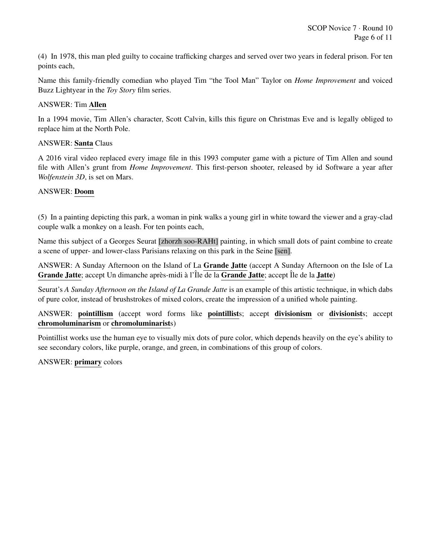(4) In 1978, this man pled guilty to cocaine trafficking charges and served over two years in federal prison. For ten points each,

Name this family-friendly comedian who played Tim "the Tool Man" Taylor on *Home Improvement* and voiced Buzz Lightyear in the *Toy Story* film series.

# ANSWER: Tim Allen

In a 1994 movie, Tim Allen's character, Scott Calvin, kills this figure on Christmas Eve and is legally obliged to replace him at the North Pole.

## ANSWER: Santa Claus

A 2016 viral video replaced every image file in this 1993 computer game with a picture of Tim Allen and sound file with Allen's grunt from *Home Improvement*. This first-person shooter, released by id Software a year after *Wolfenstein 3D*, is set on Mars.

# ANSWER: Doom

(5) In a painting depicting this park, a woman in pink walks a young girl in white toward the viewer and a gray-clad couple walk a monkey on a leash. For ten points each,

Name this subject of a Georges Seurat [zhorzh soo-RAHt] painting, in which small dots of paint combine to create a scene of upper- and lower-class Parisians relaxing on this park in the Seine [sen].

ANSWER: A Sunday Afternoon on the Island of La Grande Jatte (accept A Sunday Afternoon on the Isle of La Grande Jatte; accept Un dimanche après-midi à l'Île de la Grande Jatte; accept Île de la Jatte)

Seurat's *A Sunday Afternoon on the Island of La Grande Jatte* is an example of this artistic technique, in which dabs of pure color, instead of brushstrokes of mixed colors, create the impression of a unified whole painting.

ANSWER: pointillism (accept word forms like pointillists; accept divisionism or divisionists; accept chromoluminarism or chromoluminarists)

Pointillist works use the human eye to visually mix dots of pure color, which depends heavily on the eye's ability to see secondary colors, like purple, orange, and green, in combinations of this group of colors.

#### ANSWER: primary colors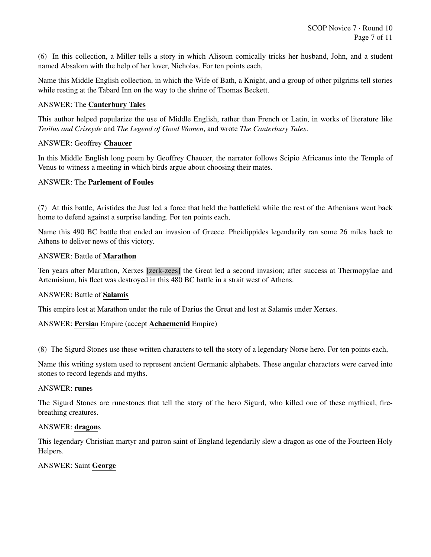(6) In this collection, a Miller tells a story in which Alisoun comically tricks her husband, John, and a student named Absalom with the help of her lover, Nicholas. For ten points each,

Name this Middle English collection, in which the Wife of Bath, a Knight, and a group of other pilgrims tell stories while resting at the Tabard Inn on the way to the shrine of Thomas Beckett.

## ANSWER: The Canterbury Tales

This author helped popularize the use of Middle English, rather than French or Latin, in works of literature like *Troilus and Criseyde* and *The Legend of Good Women*, and wrote *The Canterbury Tales*.

## ANSWER: Geoffrey Chaucer

In this Middle English long poem by Geoffrey Chaucer, the narrator follows Scipio Africanus into the Temple of Venus to witness a meeting in which birds argue about choosing their mates.

#### ANSWER: The Parlement of Foules

(7) At this battle, Aristides the Just led a force that held the battlefield while the rest of the Athenians went back home to defend against a surprise landing. For ten points each,

Name this 490 BC battle that ended an invasion of Greece. Pheidippides legendarily ran some 26 miles back to Athens to deliver news of this victory.

#### ANSWER: Battle of Marathon

Ten years after Marathon, Xerxes [zerk-zees] the Great led a second invasion; after success at Thermopylae and Artemisium, his fleet was destroyed in this 480 BC battle in a strait west of Athens.

#### ANSWER: Battle of Salamis

This empire lost at Marathon under the rule of Darius the Great and lost at Salamis under Xerxes.

#### ANSWER: Persian Empire (accept Achaemenid Empire)

(8) The Sigurd Stones use these written characters to tell the story of a legendary Norse hero. For ten points each,

Name this writing system used to represent ancient Germanic alphabets. These angular characters were carved into stones to record legends and myths.

#### ANSWER: runes

The Sigurd Stones are runestones that tell the story of the hero Sigurd, who killed one of these mythical, firebreathing creatures.

#### ANSWER: dragons

This legendary Christian martyr and patron saint of England legendarily slew a dragon as one of the Fourteen Holy Helpers.

#### ANSWER: Saint George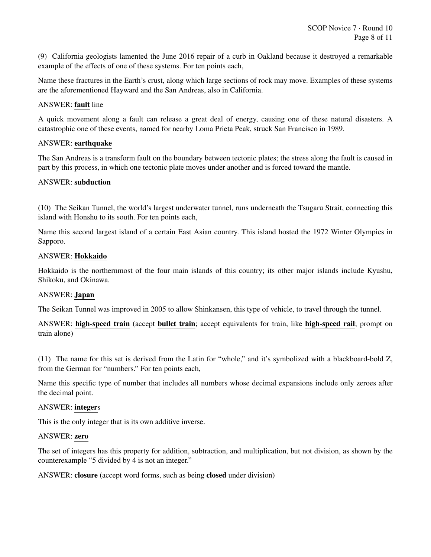(9) California geologists lamented the June 2016 repair of a curb in Oakland because it destroyed a remarkable example of the effects of one of these systems. For ten points each,

Name these fractures in the Earth's crust, along which large sections of rock may move. Examples of these systems are the aforementioned Hayward and the San Andreas, also in California.

#### ANSWER: fault line

A quick movement along a fault can release a great deal of energy, causing one of these natural disasters. A catastrophic one of these events, named for nearby Loma Prieta Peak, struck San Francisco in 1989.

#### ANSWER: earthquake

The San Andreas is a transform fault on the boundary between tectonic plates; the stress along the fault is caused in part by this process, in which one tectonic plate moves under another and is forced toward the mantle.

#### ANSWER: subduction

(10) The Seikan Tunnel, the world's largest underwater tunnel, runs underneath the Tsugaru Strait, connecting this island with Honshu to its south. For ten points each,

Name this second largest island of a certain East Asian country. This island hosted the 1972 Winter Olympics in Sapporo.

#### ANSWER: Hokkaido

Hokkaido is the northernmost of the four main islands of this country; its other major islands include Kyushu, Shikoku, and Okinawa.

#### ANSWER: Japan

The Seikan Tunnel was improved in 2005 to allow Shinkansen, this type of vehicle, to travel through the tunnel.

ANSWER: high-speed train (accept bullet train; accept equivalents for train, like high-speed rail; prompt on train alone)

(11) The name for this set is derived from the Latin for "whole," and it's symbolized with a blackboard-bold Z, from the German for "numbers." For ten points each,

Name this specific type of number that includes all numbers whose decimal expansions include only zeroes after the decimal point.

#### ANSWER: integers

This is the only integer that is its own additive inverse.

#### ANSWER: zero

The set of integers has this property for addition, subtraction, and multiplication, but not division, as shown by the counterexample "5 divided by 4 is not an integer."

ANSWER: closure (accept word forms, such as being closed under division)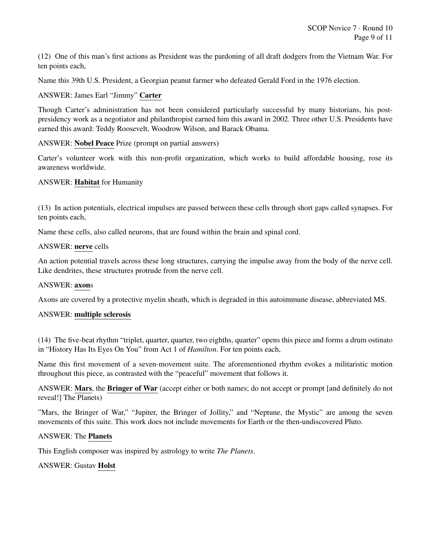(12) One of this man's first actions as President was the pardoning of all draft dodgers from the Vietnam War. For ten points each,

Name this 39th U.S. President, a Georgian peanut farmer who defeated Gerald Ford in the 1976 election.

#### ANSWER: James Earl "Jimmy" Carter

Though Carter's administration has not been considered particularly successful by many historians, his postpresidency work as a negotiator and philanthropist earned him this award in 2002. Three other U.S. Presidents have earned this award: Teddy Roosevelt, Woodrow Wilson, and Barack Obama.

#### ANSWER: Nobel Peace Prize (prompt on partial answers)

Carter's volunteer work with this non-profit organization, which works to build affordable housing, rose its awareness worldwide.

#### ANSWER: Habitat for Humanity

(13) In action potentials, electrical impulses are passed between these cells through short gaps called synapses. For ten points each,

Name these cells, also called neurons, that are found within the brain and spinal cord.

#### ANSWER: nerve cells

An action potential travels across these long structures, carrying the impulse away from the body of the nerve cell. Like dendrites, these structures protrude from the nerve cell.

#### ANSWER: axons

Axons are covered by a protective myelin sheath, which is degraded in this autoimmune disease, abbreviated MS.

#### ANSWER: multiple sclerosis

(14) The five-beat rhythm "triplet, quarter, quarter, two eighths, quarter" opens this piece and forms a drum ostinato in "History Has Its Eyes On You" from Act 1 of *Hamilton*. For ten points each,

Name this first movement of a seven-movement suite. The aforementioned rhythm evokes a militaristic motion throughout this piece, as contrasted with the "peaceful" movement that follows it.

ANSWER: Mars, the Bringer of War (accept either or both names; do not accept or prompt [and definitely do not reveal!] The Planets)

"Mars, the Bringer of War," "Jupiter, the Bringer of Jollity," and "Neptune, the Mystic" are among the seven movements of this suite. This work does not include movements for Earth or the then-undiscovered Pluto.

#### ANSWER: The Planets

This English composer was inspired by astrology to write *The Planets*.

#### ANSWER: Gustav Holst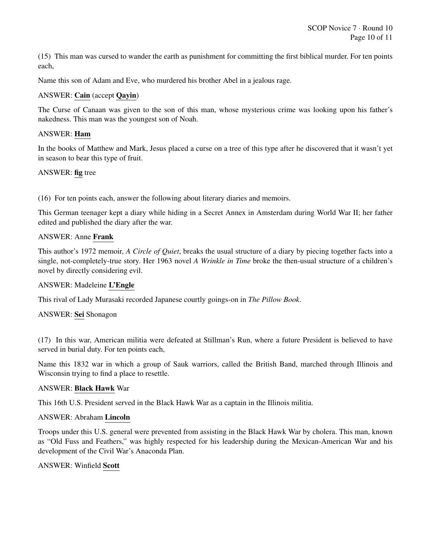(15) This man was cursed to wander the earth as punishment for committing the first biblical murder. For ten points each,

Name this son of Adam and Eve, who murdered his brother Abel in a jealous rage.

## ANSWER: Cain (accept Qayin)

The Curse of Canaan was given to the son of this man, whose mysterious crime was looking upon his father's nakedness. This man was the youngest son of Noah.

#### ANSWER: Ham

In the books of Matthew and Mark, Jesus placed a curse on a tree of this type after he discovered that it wasn't yet in season to bear this type of fruit.

#### ANSWER: fig tree

(16) For ten points each, answer the following about literary diaries and memoirs.

This German teenager kept a diary while hiding in a Secret Annex in Amsterdam during World War II; her father edited and published the diary after the war.

#### ANSWER: Anne Frank

This author's 1972 memoir, *A Circle of Quiet*, breaks the usual structure of a diary by piecing together facts into a single, not-completely-true story. Her 1963 novel *A Wrinkle in Time* broke the then-usual structure of a children's novel by directly considering evil.

#### ANSWER: Madeleine L'Engle

This rival of Lady Murasaki recorded Japanese courtly goings-on in *The Pillow Book*.

#### ANSWER: Sei Shonagon

(17) In this war, American militia were defeated at Stillman's Run, where a future President is believed to have served in burial duty. For ten points each,

Name this 1832 war in which a group of Sauk warriors, called the British Band, marched through Illinois and Wisconsin trying to find a place to resettle.

#### ANSWER: Black Hawk War

This 16th U.S. President served in the Black Hawk War as a captain in the Illinois militia.

#### ANSWER: Abraham Lincoln

Troops under this U.S. general were prevented from assisting in the Black Hawk War by cholera. This man, known as "Old Fuss and Feathers," was highly respected for his leadership during the Mexican-American War and his development of the Civil War's Anaconda Plan.

#### ANSWER: Winfield Scott